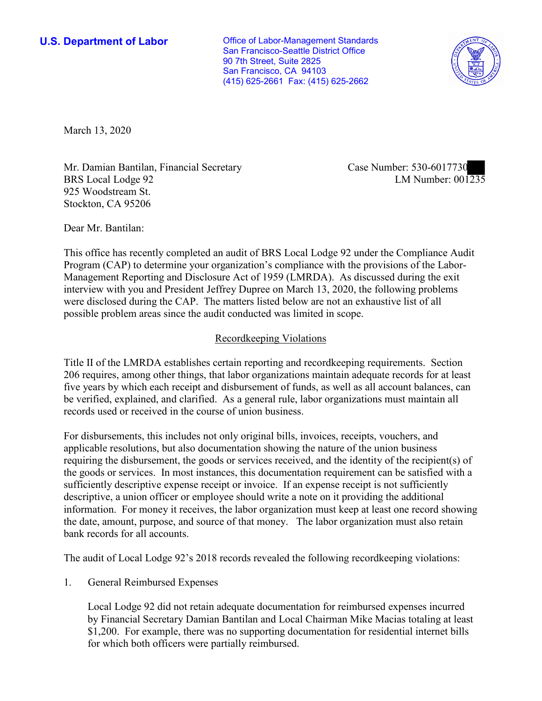**U.S. Department of Labor Conservative Conservative Conservative Conservative U.S.** Department of Labor San Francisco-Seattle District Office 90 7th Street, Suite 2825 San Francisco, CA 94103 (415) 625-2661 Fax: (415) 625-2662



March 13, 2020

Mr. Damian Bantilan, Financial Secretary BRS Local Lodge 92 925 Woodstream St. Stockton, CA 95206

Case Number: 530-6017730<br>LM Number: 001235

Dear Mr. Bantilan:

 This office has recently completed an audit of BRS Local Lodge 92 under the Compliance Audit Program (CAP) to determine your organization's compliance with the provisions of the Labor-Management Reporting and Disclosure Act of 1959 (LMRDA). As discussed during the exit interview with you and President Jeffrey Dupree on March 13, 2020, the following problems were disclosed during the CAP. The matters listed below are not an exhaustive list of all possible problem areas since the audit conducted was limited in scope.

## Recordkeeping Violations

 Title II of the LMRDA establishes certain reporting and recordkeeping requirements. Section 206 requires, among other things, that labor organizations maintain adequate records for at least five years by which each receipt and disbursement of funds, as well as all account balances, can be verified, explained, and clarified. As a general rule, labor organizations must maintain all records used or received in the course of union business.

For disbursements, this includes not only original bills, invoices, receipts, vouchers, and applicable resolutions, but also documentation showing the nature of the union business requiring the disbursement, the goods or services received, and the identity of the recipient(s) of the goods or services. In most instances, this documentation requirement can be satisfied with a sufficiently descriptive expense receipt or invoice. If an expense receipt is not sufficiently descriptive, a union officer or employee should write a note on it providing the additional information. For money it receives, the labor organization must keep at least one record showing the date, amount, purpose, and source of that money. The labor organization must also retain bank records for all accounts.

The audit of Local Lodge 92's 2018 records revealed the following recordkeeping violations:

1. General Reimbursed Expenses

 by Financial Secretary Damian Bantilan and Local Chairman Mike Macias totaling at least Local Lodge 92 did not retain adequate documentation for reimbursed expenses incurred \$1,200. For example, there was no supporting documentation for residential internet bills for which both officers were partially reimbursed.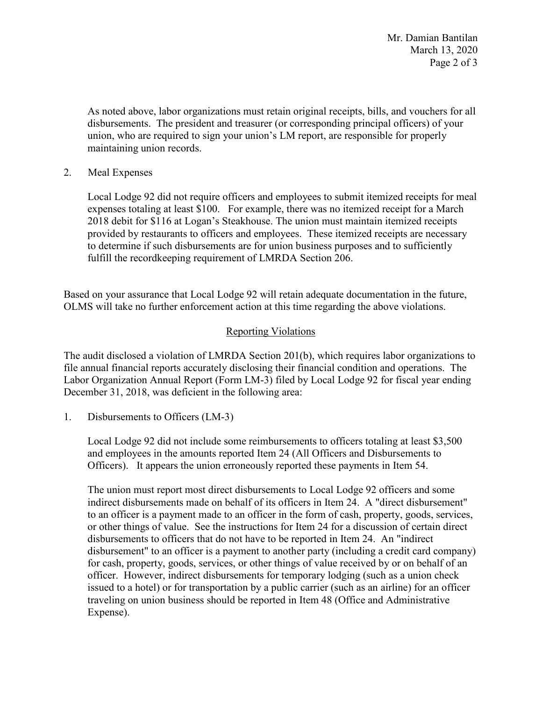March 13, 2020 Page 2 of 3 Mr. Damian Bantilan

 disbursements. The president and treasurer (or corresponding principal officers) of your As noted above, labor organizations must retain original receipts, bills, and vouchers for all union, who are required to sign your union's LM report, are responsible for properly maintaining union records.

2. Meal Expenses

 2018 debit for \$116 at Logan's Steakhouse. The union must maintain itemized receipts fulfill the recordkeeping requirement of LMRDA Section 206. Local Lodge 92 did not require officers and employees to submit itemized receipts for meal expenses totaling at least \$100. For example, there was no itemized receipt for a March provided by restaurants to officers and employees. These itemized receipts are necessary to determine if such disbursements are for union business purposes and to sufficiently

 Based on your assurance that Local Lodge 92 will retain adequate documentation in the future, OLMS will take no further enforcement action at this time regarding the above violations.

## Reporting Violations

 Labor Organization Annual Report (Form LM-3) filed by Local Lodge 92 for fiscal year ending The audit disclosed a violation of LMRDA Section 201(b), which requires labor organizations to file annual financial reports accurately disclosing their financial condition and operations. The December 31, 2018, was deficient in the following area:

1. Disbursements to Officers (LM-3)

Local Lodge 92 did not include some reimbursements to officers totaling at least \$3,500 and employees in the amounts reported Item 24 (All Officers and Disbursements to Officers). It appears the union erroneously reported these payments in Item 54.

 The union must report most direct disbursements to Local Lodge 92 officers and some issued to a hotel) or for transportation by a public carrier (such as an airline) for an officer indirect disbursements made on behalf of its officers in Item 24. A "direct disbursement" to an officer is a payment made to an officer in the form of cash, property, goods, services, or other things of value. See the instructions for Item 24 for a discussion of certain direct disbursements to officers that do not have to be reported in Item 24. An "indirect disbursement" to an officer is a payment to another party (including a credit card company) for cash, property, goods, services, or other things of value received by or on behalf of an officer. However, indirect disbursements for temporary lodging (such as a union check traveling on union business should be reported in Item 48 (Office and Administrative Expense).